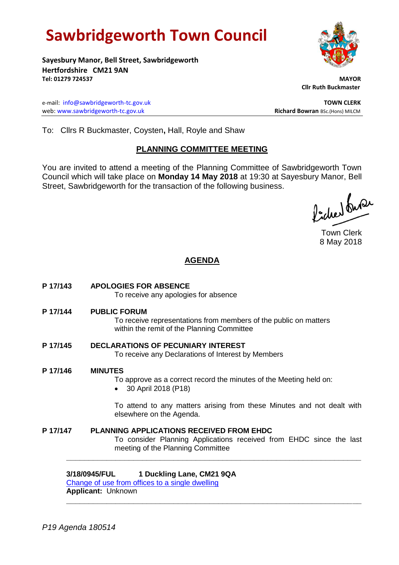# **Sawbridgeworth Town Council**

**Sayesbury Manor, Bell Street, Sawbridgeworth Hertfordshire CM21 9AN Tel: 01279 724537 MAYOR**

e-mail: [info@sawbridgeworth-tc.gov.uk](mailto:info@sawbridgeworth-tc.gov.uk) **TOWN CLERK** web: www.sawbridgeworth-tc.gov.uk **Richard Bowran** BSc.(Hons) MILCM

 **Cllr Ruth Buckmaster** 

To: Cllrs R Buckmaster, Coysten**,** Hall, Royle and Shaw

# **PLANNING COMMITTEE MEETING**

You are invited to attend a meeting of the Planning Committee of Sawbridgeworth Town Council which will take place on **Monday 14 May 2018** at 19:30 at Sayesbury Manor, Bell Street, Sawbridgeworth for the transaction of the following business.

ladier buse

Town Clerk 8 May 2018

# **AGENDA**

**P 17/143 APOLOGIES FOR ABSENCE**

To receive any apologies for absence

**P 17/144 PUBLIC FORUM**

To receive representations from members of the public on matters within the remit of the Planning Committee

- **P 17/145 DECLARATIONS OF PECUNIARY INTEREST** To receive any Declarations of Interest by Members
- **P 17/146 MINUTES**

To approve as a correct record the minutes of the Meeting held on:

30 April 2018 (P18)

To attend to any matters arising from these Minutes and not dealt with elsewhere on the Agenda.

**P 17/147 PLANNING APPLICATIONS RECEIVED FROM EHDC** To consider Planning Applications received from EHDC since the last meeting of the Planning Committee

**\_\_\_\_\_\_\_\_\_\_\_\_\_\_\_\_\_\_\_\_\_\_\_\_\_\_\_\_\_\_\_\_\_\_\_\_\_\_\_\_\_\_\_\_\_\_\_\_\_\_\_\_\_\_\_\_\_\_\_\_\_\_\_\_\_\_**

**\_\_\_\_\_\_\_\_\_\_\_\_\_\_\_\_\_\_\_\_\_\_\_\_\_\_\_\_\_\_\_\_\_\_\_\_\_\_\_\_\_\_\_\_\_\_\_\_\_\_\_\_\_\_\_\_\_\_\_\_\_\_\_\_\_\_**

**3/18/0945/FUL 1 Duckling Lane, CM21 9QA**

[Change of use from offices to a single dwelling](https://publicaccess.eastherts.gov.uk/online-applications/applicationDetails.do?activeTab=documents&keyVal=P7OZU9GL00V00) **Applicant:** Unknown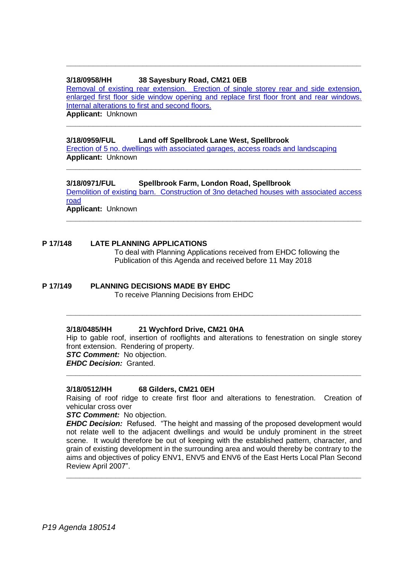# **3/18/0958/HH 38 Sayesbury Road, CM21 0EB**

[Removal of existing rear extension. Erection of single storey rear and side extension,](https://publicaccess.eastherts.gov.uk/online-applications/applicationDetails.do?activeTab=documents&keyVal=P7QMOCGLLM300)  [enlarged first floor side window opening and replace first floor front and rear windows.](https://publicaccess.eastherts.gov.uk/online-applications/applicationDetails.do?activeTab=documents&keyVal=P7QMOCGLLM300)  [Internal alterations to first and second floors.](https://publicaccess.eastherts.gov.uk/online-applications/applicationDetails.do?activeTab=documents&keyVal=P7QMOCGLLM300) **Applicant:** Unknown

**\_\_\_\_\_\_\_\_\_\_\_\_\_\_\_\_\_\_\_\_\_\_\_\_\_\_\_\_\_\_\_\_\_\_\_\_\_\_\_\_\_\_\_\_\_\_\_\_\_\_\_\_\_\_\_\_\_\_\_\_\_\_\_\_\_\_**

**\_\_\_\_\_\_\_\_\_\_\_\_\_\_\_\_\_\_\_\_\_\_\_\_\_\_\_\_\_\_\_\_\_\_\_\_\_\_\_\_\_\_\_\_\_\_\_\_\_\_\_\_\_\_\_\_\_\_\_\_\_\_\_\_\_\_**

## **3/18/0959/FUL Land off Spellbrook Lane West, Spellbrook**

[Erection of 5 no. dwellings with associated garages, access roads and landscaping](https://publicaccess.eastherts.gov.uk/online-applications/applicationDetails.do?activeTab=documents&keyVal=P7QXT2GLLM600) **Applicant:** Unknown

**3/18/0971/FUL Spellbrook Farm, London Road, Spellbrook**

[Demolition of existing barn. Construction of 3no detached houses with associated access](https://publicaccess.eastherts.gov.uk/online-applications/applicationDetails.do?activeTab=documents&keyVal=P7U0NFGL00V00)  [road](https://publicaccess.eastherts.gov.uk/online-applications/applicationDetails.do?activeTab=documents&keyVal=P7U0NFGL00V00) **Applicant:** Unknown

**\_\_\_\_\_\_\_\_\_\_\_\_\_\_\_\_\_\_\_\_\_\_\_\_\_\_\_\_\_\_\_\_\_\_\_\_\_\_\_\_\_\_\_\_\_\_\_\_\_\_\_\_\_\_\_\_\_\_\_\_\_\_\_\_\_\_**

**\_\_\_\_\_\_\_\_\_\_\_\_\_\_\_\_\_\_\_\_\_\_\_\_\_\_\_\_\_\_\_\_\_\_\_\_\_\_\_\_\_\_\_\_\_\_\_\_\_\_\_\_\_\_\_\_\_\_\_\_\_\_\_\_\_\_**

### **P 17/148 LATE PLANNING APPLICATIONS**

To deal with Planning Applications received from EHDC following the Publication of this Agenda and received before 11 May 2018

**P 17/149 PLANNING DECISIONS MADE BY EHDC**

To receive Planning Decisions from EHDC

# **3/18/0485/HH 21 Wychford Drive, CM21 0HA**

Hip to gable roof, insertion of rooflights and alterations to fenestration on single storey front extension. Rendering of property. *STC Comment:* No objection.

**\_\_\_\_\_\_\_\_\_\_\_\_\_\_\_\_\_\_\_\_\_\_\_\_\_\_\_\_\_\_\_\_\_\_\_\_\_\_\_\_\_\_\_\_\_\_\_\_\_\_\_\_\_\_\_\_\_\_\_\_\_\_\_\_\_\_**

*EHDC Decision:* Granted. **\_\_\_\_\_\_\_\_\_\_\_\_\_\_\_\_\_\_\_\_\_\_\_\_\_\_\_\_\_\_\_\_\_\_\_\_\_\_\_\_\_\_\_\_\_\_\_\_\_\_\_\_\_\_\_\_\_\_\_\_\_\_\_\_\_\_**

# **3/18/0512/HH 68 Gilders, CM21 0EH**

Raising of roof ridge to create first floor and alterations to fenestration. Creation of vehicular cross over

*STC Comment:* No objection.

*EHDC Decision:* Refused. "The height and massing of the proposed development would not relate well to the adjacent dwellings and would be unduly prominent in the street scene. It would therefore be out of keeping with the established pattern, character, and grain of existing development in the surrounding area and would thereby be contrary to the aims and objectives of policy ENV1, ENV5 and ENV6 of the East Herts Local Plan Second Review April 2007".

**\_\_\_\_\_\_\_\_\_\_\_\_\_\_\_\_\_\_\_\_\_\_\_\_\_\_\_\_\_\_\_\_\_\_\_\_\_\_\_\_\_\_\_\_\_\_\_\_\_\_\_\_\_\_\_\_\_\_\_\_\_\_\_\_\_\_**